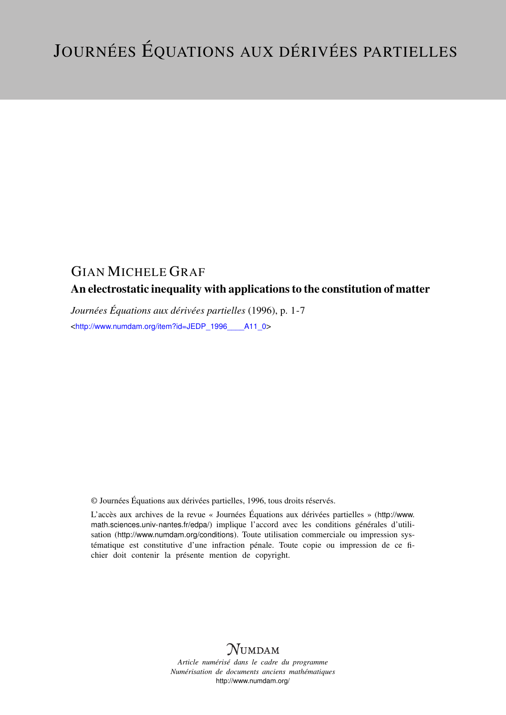## GIAN MICHELE GRAF

# An electrostatic inequality with applications to the constitution of matter

*Journées Équations aux dérivées partielles* (1996), p. 1-7 <[http://www.numdam.org/item?id=JEDP\\_1996\\_\\_\\_\\_A11\\_0](http://www.numdam.org/item?id=JEDP_1996____A11_0)>

© Journées Équations aux dérivées partielles, 1996, tous droits réservés.

L'accès aux archives de la revue « Journées Équations aux dérivées partielles » ([http://www.](http://www.math.sciences.univ-nantes.fr/edpa/) [math.sciences.univ-nantes.fr/edpa/](http://www.math.sciences.univ-nantes.fr/edpa/)) implique l'accord avec les conditions générales d'utilisation (<http://www.numdam.org/conditions>). Toute utilisation commerciale ou impression systématique est constitutive d'une infraction pénale. Toute copie ou impression de ce fichier doit contenir la présente mention de copyright.



*Article numérisé dans le cadre du programme Numérisation de documents anciens mathématiques* <http://www.numdam.org/>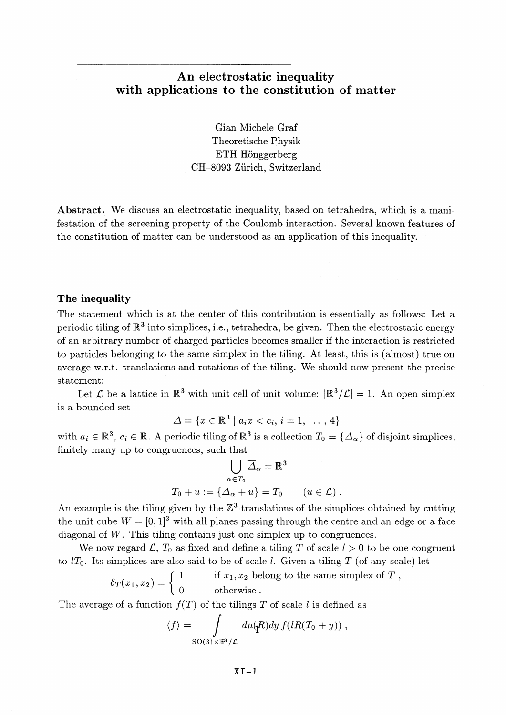### **An electrostatic inequality with applications to the constitution of matter**

Gian Michele Graf Theoretische Physik ETH Hönggerberg CH-8093 Zürich, Switzerland

**Abstract.** We discuss an electrostatic inequality, based on tetrahedra, which is a manifestation of the screening property of the Coulomb interaction. Several known features of the constitution of matter can be understood as an application of this inequality.

### **The inequality**

The statement which is at the center of this contribution is essentially as follows: Let a periodic tiling of  $\mathbb{R}^3$  into simplices, i.e., tetrahedra, be given. Then the electrostatic energy of an arbitrary number of charged particles becomes smaller if the interaction is restricted to particles belonging to the same simplex in the tiling. At least, this is (almost) true on average w.r.t. translations and rotations of the tiling. We should now present the precise statement:

Let  $\mathcal L$  be a lattice in  $\mathbb R^3$  with unit cell of unit volume:  $|\mathbb R^3/\mathcal L|=1$ . An open simplex is a bounded set

$$
\Delta = \{x \in \mathbb{R}^3 \mid a_i x < c_i, \, i = 1, \, \dots \, , \, 4\}
$$

with  $a_i \in \mathbb{R}^3$ ,  $c_i \in \mathbb{R}$ . A periodic tiling of  $\mathbb{R}^3$  is a collection  $T_0 = {\{\Delta_\alpha\}}$  of disjoint simplices, finitely many up to congruences, such that

$$
\bigcup_{\alpha \in T_0} \overline{\Delta}_{\alpha} = \mathbb{R}^3
$$
  

$$
T_0 + u := \{ \Delta_{\alpha} + u \} = T_0 \qquad (u \in \mathcal{L}) .
$$

An example is the tiling given by the  $\mathbb{Z}^3$ -translations of the simplices obtained by cutting the unit cube  $W = [0, 1]^3$  with all planes passing through the centre and an edge or a face diagonal of *W.* This tiling contains just one simplex up to congruences.

We now regard  $\mathcal{L}, T_0$  as fixed and define a tiling T of scale  $l > 0$  to be one congruent to  $lT_0$ . Its simplices are also said to be of scale *l*. Given a tiling T (of any scale) let

$$
\delta_T(x_1, x_2) = \begin{cases} 1 & \text{if } x_1, x_2 \text{ belong to the same simplex of } T, \\ 0 & \text{otherwise.} \end{cases}
$$

The average of a function  $f(T)$  of the tilings T of scale *l* is defined as

$$
\langle f \rangle = \int\limits_{\mathrm{SO}(3)\times \mathbb{R}^3/\mathcal{L}} d\mu(\mathrm{d}R) dy f(lR(T_0+y)) \ .
$$

 $XI-1$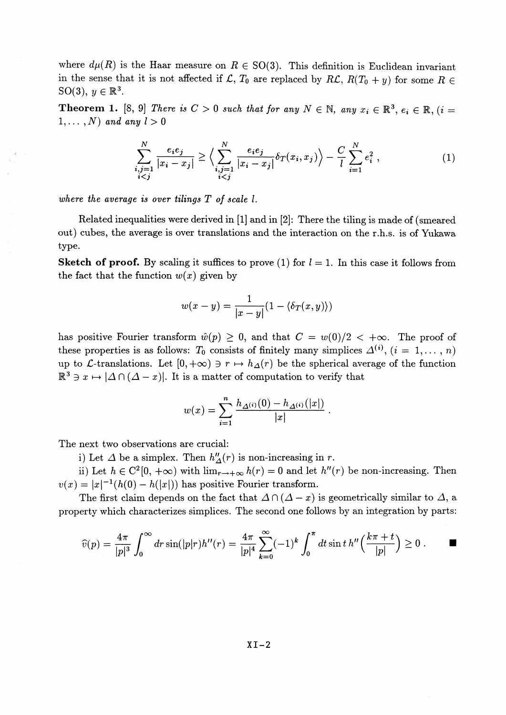where  $d\mu(R)$  is the Haar measure on  $R \in SO(3)$ . This definition is Euclidean invariant in the sense that it is not affected if  $\mathcal{L}$ ,  $T_0$  are replaced by  $R\mathcal{L}$ ,  $R(T_0 + y)$  for some  $R \in$  $SO(3)$ ,  $y \in \mathbb{R}^3$ 

**Theorem 1.** [8, 9] There is  $C > 0$  such that for any  $N \in \mathbb{N}$ , any  $x_i \in \mathbb{R}^3$ ,  $e_i \in \mathbb{R}$ ,  $(i = 1, j = 1)$  $1, \ldots, N$  and any  $l > 0$ 

$$
\sum_{\substack{i,j=1 \ i
$$

*where the average is over tilings T of scale* /.

Related inequalities were derived in [1] and in [2]: There the tiling is made of (smeared out) cubes, the average is over translations and the interaction on the r.h.s. is of Yukawa type.

**Sketch of proof.** By scaling it suffices to prove (1) for  $l = 1$ . In this case it follows from the fact that the function  $w(x)$  given by

$$
w(x - y) = \frac{1}{|x - y|}(1 - \langle \delta_T(x, y) \rangle)
$$

has positive Fourier transform  $\hat{w}(p) \geq 0$ , and that  $C = w(0)/2 < +\infty$ . The proof of these properties is as follows:  $T_0$  consists of finitely many simplices  $\Delta^{(i)}$ ,  $(i = 1, \ldots, n)$ up to *L*-translations. Let  $[0,+\infty) \ni r \mapsto h_{\Delta}(r)$  be the spherical average of the function  $\mathbb{R}^3$ b to L-translations. Let  $[0, +\infty) \ni r \mapsto h_{\Delta}(r)$  be the spherical averal  $3 \ni x \mapsto |\Delta \cap (\Delta - x)|$ . It is a matter of computation to verify that

$$
w(x) = \sum_{i=1}^{n} \frac{h_{\Delta^{(i)}}(0) - h_{\Delta^{(i)}}(|x|)}{|x|}.
$$

The next two observations are crucial:

i) Let  $\Delta$  be a simplex. Then  $h''_{\Delta}(r)$  is non-increasing in r.

ii) Let  $h \in C^2[0, +\infty)$  with  $\lim_{r \to +\infty} h(r) = 0$  and let  $h''(r)$  be non-increasing. Then  $v(x) = |x|^{-1}(h(0) - h(|x|))$  has positive Fourier transform.  $v(x) = |x|^{-1}(h(0) - h(|x|))$  has positive Fourier transform.<br>The first claim depends on the fact that  $\Delta \cap (\Delta - x)$  is geometrically similar to  $\Delta$ , a

property which characterizes simplices. The second one follows by an integration by parts:

$$
\widehat{v}(p) = \frac{4\pi}{|p|^3} \int_0^\infty dr \sin(|p|r)h''(r) = \frac{4\pi}{|p|^4} \sum_{k=0}^\infty (-1)^k \int_0^\pi dt \sin t \, h''\left(\frac{k\pi + t}{|p|}\right) \ge 0 \, . \qquad \blacksquare
$$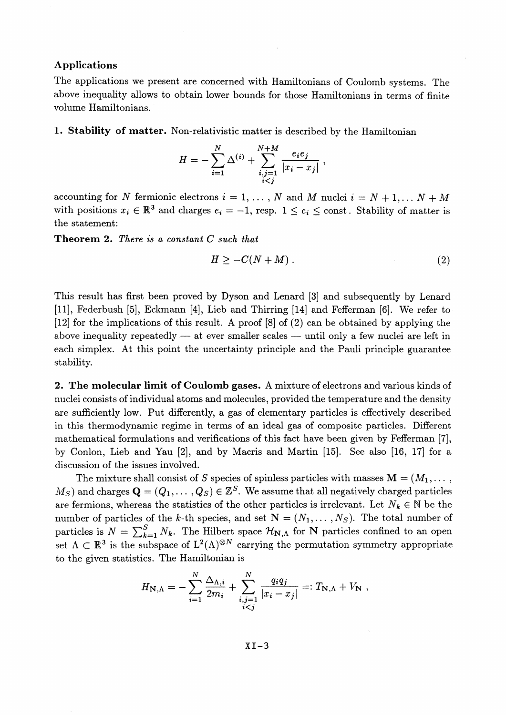#### **Applications**

The applications we present are concerned with Hamiltonians of Coulomb systems. The above inequality allows to obtain lower bounds for those Hamiltonians in terms of finite volume Hamiltonians.

**1. Stability of matter.** Non-relativistic matter is described by the Hamiltonian

$$
H = -\sum_{i=1}^{N} \Delta^{(i)} + \sum_{\substack{i,j=1 \\ i
$$

accounting for *N* fermionic electrons  $i = 1, ..., N$  and *M* nuclei  $i = N + 1, ..., N + M$ with positions  $x_i \in \mathbb{R}^3$  and charges  $e_i = -1$ , resp.  $1 \leq e_i \leq \text{const.}$  Stability of matter is the statement:

**Theorem 2.** *There is a constant C such that*

$$
H \geq -C(N+M) \tag{2}
$$

This result has first been proved by Dyson and Lenard [3] and subsequently by Lenard [II], Federbush [5], Eckmann [4], Lieb and Thirring [14] and Fefferman [6]. We refer to [12] for the implications of this result. A proof [8] of (2) can be obtained by applying the above inequality repeatedly — at ever smaller scales — until only a few nuclei are left in each simplex. At this point the uncertainty principle and the Pauli principle guarantee stability.

**2. The molecular limit of Coulomb gases.** A mixture of electrons and various kinds of nuclei consists of individual atoms and molecules, provided the temperature and the density are sufficiently low. Put differently, a gas of elementary particles is effectively described in this thermodynamic regime in terms of an ideal gas of composite particles. Different mathematical formulations and verifications of this fact have been given by Fefferman [7], by Conlon, Lieb and Yau [2], and by Macris and Martin [15]. See also [16, 17] for a discussion of the issues involved.

The mixture shall consist of *S* species of spinless particles with masses  $M = (M_1, \ldots, M_k)$  $(M_S)$  and charges  $\mathbf{Q} = (Q_1, \ldots, Q_S) \in \mathbb{Z}^S.$  We assume that all negatively charged particles are fermions, whereas the statistics of the other particles is irrelevant. Let  $N_k \in \mathbb{N}$  be the number of particles of the k-th species, and set  $N = (N_1, \ldots, N_S)$ . The total number of particles is  $N = \sum_{k=1}^{S} N_k$ . The Hilbert space  $\mathcal{H}_{N,\Lambda}$  for N particles confined to an open set  $\Lambda \subset \mathbb{R}^3$  is the subspace of  $L^2(\Lambda)^{\otimes N}$  carrying the permutation symmetry appropriate to the given statistics. The Hamiltonian is

$$
H_{\mathbf{N},\Lambda} = -\sum_{i=1}^{N} \frac{\Delta_{\Lambda,i}}{2m_i} + \sum_{\substack{i,j=1 \\ i
$$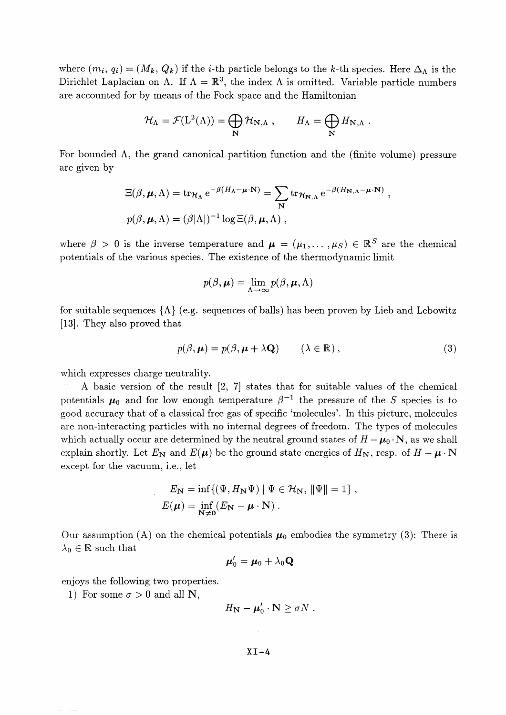where  $(m_i, q_i) = (M_k, Q_k)$  if the *i*-th particle belongs to the k-th species. Here  $\Delta_{\Lambda}$  is the Dirichlet Laplacian on  $\Lambda$ . If  $\Lambda = \mathbb{R}^3$ , the index  $\Lambda$  is omitted. Variable particle numbers are accounted for by means of the Fock space and the Hamiltonian

$$
\mathcal{H}_{\Lambda} = \mathcal{F}(L^2(\Lambda)) = \bigoplus_{\mathbf{N}} \mathcal{H}_{\mathbf{N},\Lambda} , \qquad H_{\Lambda} = \bigoplus_{\mathbf{N}} H_{\mathbf{N},\Lambda} .
$$

For bounded  $\Lambda$ , the grand canonical partition function and the (finite volume) pressure are given by

$$
\Xi(\beta, \mu, \Lambda) = \text{tr}_{\mathcal{H}_{\Lambda}} e^{-\beta (H_{\Lambda} - \mu \cdot \mathbf{N})} = \sum_{\mathbf{N}} \text{tr}_{\mathcal{H}_{\mathbf{N}, \Lambda}} e^{-\beta (H_{\mathbf{N}, \Lambda} - \mu \cdot \mathbf{N})},
$$
  

$$
p(\beta, \mu, \Lambda) = (\beta |\Lambda|)^{-1} \log \Xi(\beta, \mu, \Lambda),
$$

where  $\beta > 0$  is the inverse temperature and  $\mu = (\mu_1, \dots, \mu_S) \in \mathbb{R}^S$  are the chemical potentials of the various species. The existence of the thermodynamic limit

$$
p(\beta, \boldsymbol{\mu}) = \lim_{\Lambda \to \infty} p(\beta, \boldsymbol{\mu}, \Lambda)
$$

for suitable sequences  $\{\Lambda\}$  (e.g. sequences of balls) has been proven by Lieb and Lebowitz [13]. They also proved that

$$
p(\beta, \mu) = p(\beta, \mu + \lambda \mathbf{Q}) \qquad (\lambda \in \mathbb{R}), \qquad (3)
$$

which expresses charge neutrality.

A basic version of the result [2, 7] states that for suitable values of the chemical potentials  $\mu_0$  and for low enough temperature  $\beta^{-1}$  the pressure of the *S* species is to good accuracy that of a classical free gas of specific 'molecules^. In this picture, molecules are non-interacting particles with no internal degrees of freedom. The types of molecules which actually occur are determined by the neutral ground states of  $H - \mu_0 \cdot N$ , as we shall explain shortly. Let  $E_N$  and  $E(\mu)$  be the ground state energies of  $H_N$ , resp. of  $H - \mu \cdot N$ except for the vacuum, i.e., let

$$
E_{\mathbf{N}} = \inf \{ (\Psi, H_{\mathbf{N}} \Psi) \mid \Psi \in \mathcal{H}_{\mathbf{N}}, \|\Psi\| = 1 \},
$$
  

$$
E(\boldsymbol{\mu}) = \inf_{\mathbf{N} \neq \mathbf{0}} (E_{\mathbf{N}} - \boldsymbol{\mu} \cdot \mathbf{N}).
$$

Our assumption (A) on the chemical potentials  $\mu_0$  embodies the symmetry (3): There is  $\lambda_0 \in \mathbb{R}$  such that

$$
\boldsymbol{\mu}_0' = \boldsymbol{\mu}_0 + \lambda_0 \mathbf{Q}
$$

enjoys the following two properties.

1) For some  $\sigma > 0$  and all N,

$$
H_{\mathbf{N}} - \boldsymbol{\mu}'_0 \cdot \mathbf{N} \geq \sigma N \; .
$$

#### $XT-4$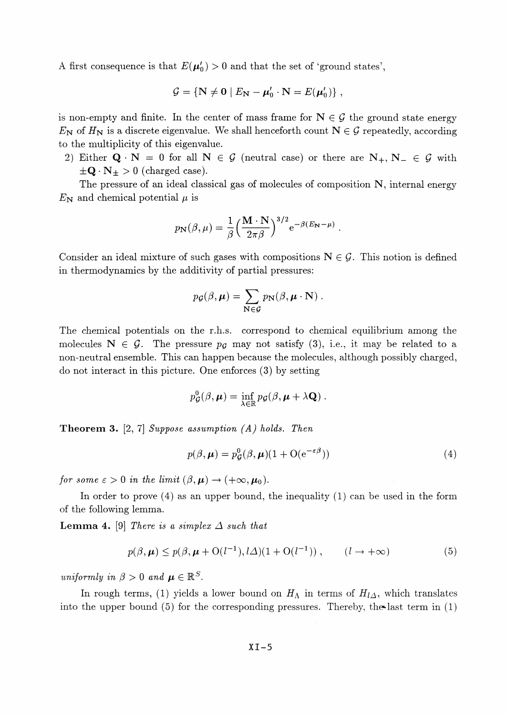A first consequence is that  $E(\mu_0') > 0$  and that the set of 'ground states',

$$
\mathcal{G} = \{ \mathbf{N} \neq \mathbf{0} \mid E_{\mathbf{N}} - \boldsymbol{\mu}_0' \cdot \mathbf{N} = E(\boldsymbol{\mu}_0') \},
$$

is non-empty and finite. In the center of mass frame for  $N \in \mathcal{G}$  the ground state energy  $E_N$  of  $H_N$  is a discrete eigenvalue. We shall henceforth count  $N \in \mathcal{G}$  repeatedly, according to the multiplicity of this eigenvalue.

2) Either  $Q \cdot N = 0$  for all  $N \in \mathcal{G}$  (neutral case) or there are  $N_+, N_- \in \mathcal{G}$  with  $\pm \mathbf{Q} \cdot \mathbf{N}_{\pm} > 0$  (charged case).

The pressure of an ideal classical gas of molecules of composition N, internal energy  $E_N$  and chemical potential  $\mu$  is

$$
p_{\mathbf{N}}(\beta,\mu) = \frac{1}{\beta} \Big(\frac{\mathbf{M} \cdot \mathbf{N}}{2\pi\beta}\Big)^{3/2} e^{-\beta(E_{\mathbf{N}} - \mu)}.
$$

Consider an ideal mixture of such gases with compositions  $N \in \mathcal{G}$ . This notion is defined in thermodynamics by the additivity of partial pressures:

$$
p_{\mathcal{G}}(\beta, \mu) = \sum_{\mathbf{N} \in \mathcal{G}} p_{\mathbf{N}}(\beta, \mu \cdot \mathbf{N}).
$$

The chemical potentials on the r.h.s. correspond to chemical equilibrium among the molecules  $N \in \mathcal{G}$ . The pressure  $p_{\mathcal{G}}$  may not satisfy (3), i.e., it may be related to a non-neutral ensemble. This can happen because the molecules, although possibly charged, do not interact in this picture. One enforces (3) by setting

$$
p_{\mathcal{G}}^0(\beta,\mu)=\inf_{\lambda\in\mathbb{R}}p_{\mathcal{G}}(\beta,\mu+\lambda\mathbf{Q}).
$$

**Theorem 3.** [2, 7] *Suppose assumption (A) holds. Then*

$$
p(\beta, \mu) = p_{\mathcal{G}}^0(\beta, \mu)(1 + \mathcal{O}(e^{-\varepsilon \beta}))
$$
\n(4)

*for some*  $\varepsilon > 0$  *in the limit*  $(\beta, \mu) \rightarrow (+\infty, \mu_0)$ .

In order to prove (4) as an upper bound, the inequality (1) can be used in the form of the following lemma.

**Lemma 4.** [9] *There is a simplex*  $\Delta$  *such that* 

$$
p(\beta, \mu) \le p(\beta, \mu + O(l^{-1}), l\Delta)(1 + O(l^{-1})), \qquad (l \to +\infty)
$$
 (5)

*uniformly in*  $\beta > 0$  *and*  $\mu \in \mathbb{R}^S$ .

In rough terms, (1) yields a lower bound on  $H_{\Lambda}$  in terms of  $H_{l\Delta}$ , which translates into the upper bound  $(5)$  for the corresponding pressures. Thereby, the last term in  $(1)$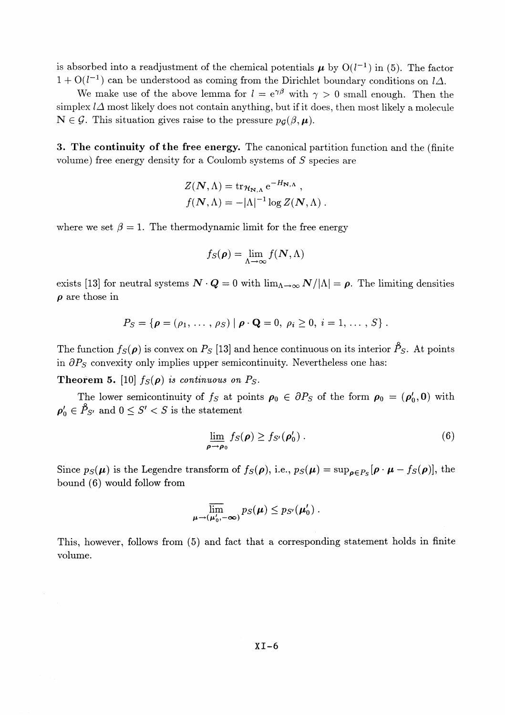is absorbed into a readjustment of the chemical potentials  $\mu$  by  $O(l^{-1})$  in (5). The factor  $1 + O(l^{-1})$  can be understood as coming from the Dirichlet boundary conditions on  $l\Delta$ .

We make use of the above lemma for  $l = e^{\gamma \beta}$  with  $\gamma > 0$  small enough. Then the simplex  $l\Delta$  most likely does not contain anything, but if it does, then most likely a molecule  $\mathbf{N} \in \mathcal{G}$ . This situation gives raise to the pressure  $p_{\mathcal{G}}(\beta,\mu)$ .

**3. The continuity of the free energy.** The canonical partition function and the (finite volume) free energy density for a Coulomb systems of *S* species are

$$
Z(N,\Lambda) = \operatorname{tr}_{\mathcal{H}_{\mathbf{N},\Lambda}} e^{-H_{\mathbf{N},\Lambda}},
$$
  

$$
f(N,\Lambda) = -|\Lambda|^{-1} \log Z(N,\Lambda).
$$

where we set  $\beta = 1$ . The thermodynamic limit for the free energy

$$
f_S(\boldsymbol{\rho}) = \lim_{\Lambda \to \infty} f(\boldsymbol{N}, \Lambda)
$$

exists [13] for neutral systems  $N \cdot Q = 0$  with  $\lim_{\Lambda \to \infty} N/|\Lambda| = \rho$ . The limiting densities *<sup>p</sup>* are those in

$$
P_S = \{ \boldsymbol{\rho} = (\rho_1, \ldots, \rho_S) \mid \boldsymbol{\rho} \cdot \mathbf{Q} = 0, \ \rho_i \geq 0, \ i = 1, \ldots, S \}.
$$

The function  $f_S(\rho)$  is convex on  $P_S$  [13] and hence continuous on its interior  $\mathcal{P}_S$ . At points in  $\partial P_S$  convexity only implies upper semicontinuity. Nevertheless one has:

**Theorem 5.** [10]  $f_S(\rho)$  is continuous on  $P_S$ .

The lower semicontinuity of  $f_S$  at points  $\rho_0 \in \partial P_S$  of the form  $\rho_0 = (\rho'_0, 0)$  with  $\rho'_0 \in \hat{P}_{S'}$  and  $0 \leq S' < S$  is the statement

$$
\lim_{\rho \to \rho_0} f_S(\rho) \ge f_{S'}(\rho'_0) \,. \tag{6}
$$

Since  $p_S(\mu)$  is the Legendre transform of  $f_S(\rho)$ , i.e.,  $p_S(\mu) = \sup_{\rho \in P_S} [\rho \cdot \mu - f_S(\rho)]$ , the bound (6) would follow from

$$
\overline{\lim}_{\mu\to(\mu'_0,-\infty)}p_S(\mu)\leq p_{S'}(\mu'_0).
$$

This, however, follows from (5) and fact that a corresponding statement holds in finite volume.